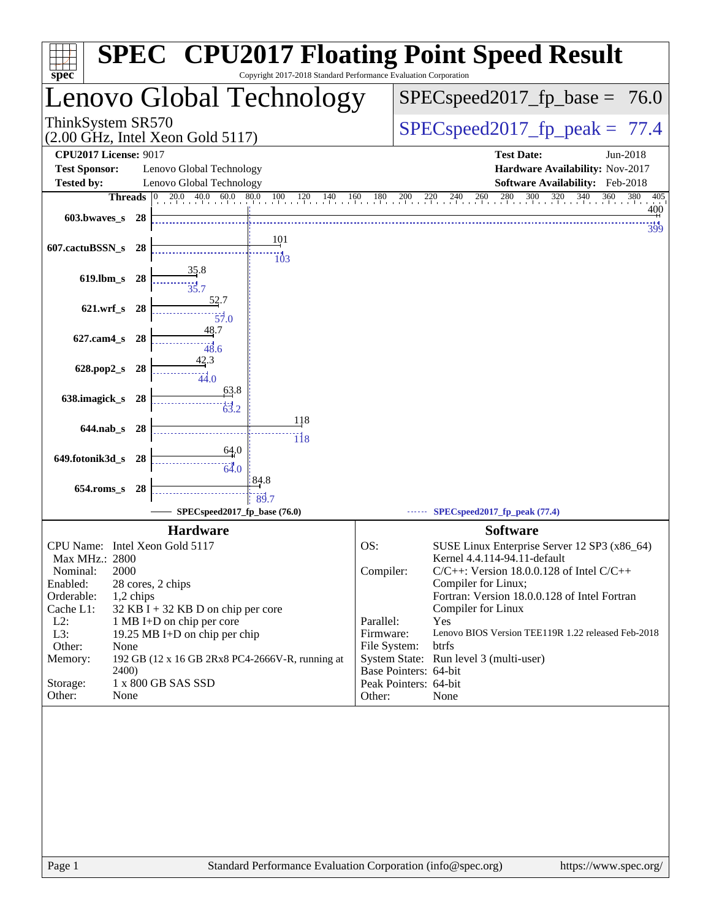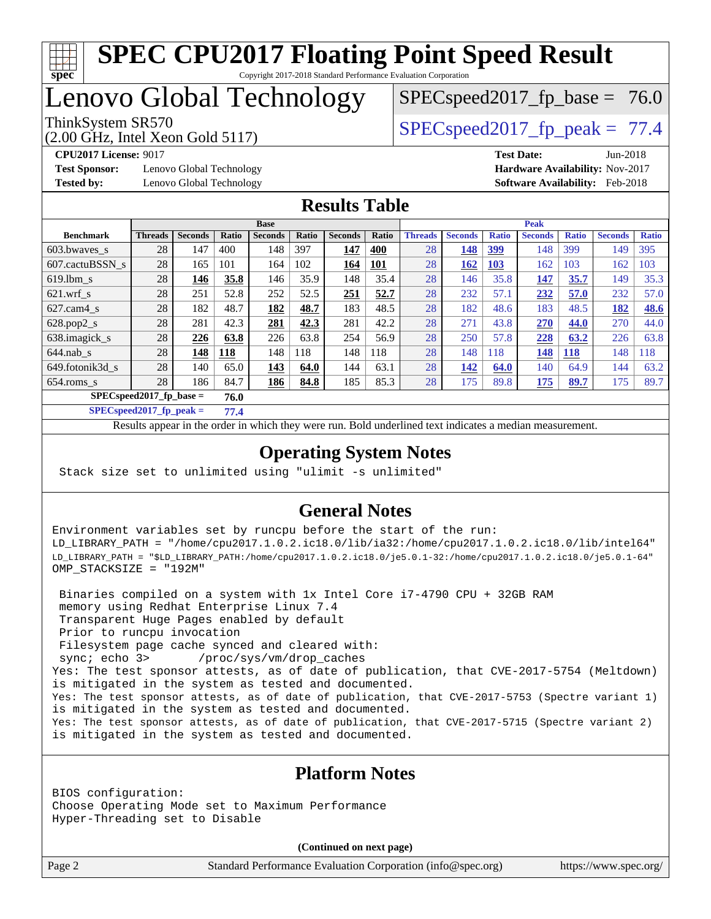

## Lenovo Global Technology

ThinkSystem SR570<br>  $SPEC speed2017$  fp\_peak = 77.4

 $SPECspeed2017_fp\_base = 76.0$ 

(2.00 GHz, Intel Xeon Gold 5117)

**[Tested by:](http://www.spec.org/auto/cpu2017/Docs/result-fields.html#Testedby)** Lenovo Global Technology **[Software Availability:](http://www.spec.org/auto/cpu2017/Docs/result-fields.html#SoftwareAvailability)** Feb-2018

**[CPU2017 License:](http://www.spec.org/auto/cpu2017/Docs/result-fields.html#CPU2017License)** 9017 **[Test Date:](http://www.spec.org/auto/cpu2017/Docs/result-fields.html#TestDate)** Jun-2018 **[Test Sponsor:](http://www.spec.org/auto/cpu2017/Docs/result-fields.html#TestSponsor)** Lenovo Global Technology **[Hardware Availability:](http://www.spec.org/auto/cpu2017/Docs/result-fields.html#HardwareAvailability)** Nov-2017

#### **[Results Table](http://www.spec.org/auto/cpu2017/Docs/result-fields.html#ResultsTable)**

|                  | <b>Base</b>    |                |       |                           | <b>Peak</b> |                |            |                |                |              |                |              |                |              |
|------------------|----------------|----------------|-------|---------------------------|-------------|----------------|------------|----------------|----------------|--------------|----------------|--------------|----------------|--------------|
| <b>Benchmark</b> | <b>Threads</b> | <b>Seconds</b> | Ratio | <b>Seconds</b>            | Ratio       | <b>Seconds</b> | Ratio      | <b>Threads</b> | <b>Seconds</b> | <b>Ratio</b> | <b>Seconds</b> | <b>Ratio</b> | <b>Seconds</b> | <b>Ratio</b> |
| 603.bwayes_s     | 28             | 147            | 400   | 148                       | 397         | 147            | <b>400</b> | 28             | 148            | <u>399</u>   | 148            | 399          | 149            | 395          |
| 607.cactuBSSN s  | 28             | 165            | 101   | 164                       | 102         | 164            | <b>101</b> | 28             | 162            | <u>103</u>   | 162            | 103          | 162            | 103          |
| $619.1$ bm s     | 28             | 146            | 35.8  | 146                       | 35.9        | 148            | 35.4       | 28             | 146            | 35.8         | 147            | 35.7         | 149            | 35.3         |
| $621$ .wrf s     | 28             | 251            | 52.8  | 252                       | 52.5        | 251            | 52.7       | 28             | 232            | 57.1         | 232            | 57.0         | 232            | 57.0         |
| $627$ .cam4 s    | 28             | 182            | 48.7  | 182                       | 48.7        | 183            | 48.5       | 28             | 182            | 48.6         | 183            | 48.5         | 182            | 48.6         |
| $628.pop2_s$     | 28             | 281            | 42.3  | 281                       | 42.3        | 281            | 42.2       | 28             | 271            | 43.8         | 270            | 44.0         | 270            | 44.0         |
| 638.imagick_s    | 28             | 226            | 63.8  | 226                       | 63.8        | 254            | 56.9       | 28             | 250            | 57.8         | 228            | 63.2         | 226            | 63.8         |
| $644$ .nab s     | 28             | 148            | 118   | 148                       | 118         | 148            | 118        | 28             | 148            | 118          | 148            | <b>118</b>   | 148            | 118          |
| 649.fotonik3d s  | 28             | 140            | 65.0  | 143                       | 64.0        | 144            | 63.1       | 28             | 142            | 64.0         | 140            | 64.9         | 144            | 63.2         |
| $654$ .roms s    | 28             | 186            | 84.7  | 186                       | 84.8        | 185            | 85.3       | 28             | 175            | 89.8         | 175            | 89.7         | 175            | 89.7         |
|                  |                |                | 76.0  | $SPECspeed2017$ fp base = |             |                |            |                |                |              |                |              |                |              |

**[SPECspeed2017\\_fp\\_peak =](http://www.spec.org/auto/cpu2017/Docs/result-fields.html#SPECspeed2017fppeak) 77.4**

Results appear in the [order in which they were run.](http://www.spec.org/auto/cpu2017/Docs/result-fields.html#RunOrder) Bold underlined text [indicates a median measurement](http://www.spec.org/auto/cpu2017/Docs/result-fields.html#Median).

#### **[Operating System Notes](http://www.spec.org/auto/cpu2017/Docs/result-fields.html#OperatingSystemNotes)**

Stack size set to unlimited using "ulimit -s unlimited"

#### **[General Notes](http://www.spec.org/auto/cpu2017/Docs/result-fields.html#GeneralNotes)**

Environment variables set by runcpu before the start of the run: LD\_LIBRARY\_PATH = "/home/cpu2017.1.0.2.ic18.0/lib/ia32:/home/cpu2017.1.0.2.ic18.0/lib/intel64" LD\_LIBRARY\_PATH = "\$LD\_LIBRARY\_PATH:/home/cpu2017.1.0.2.ic18.0/je5.0.1-32:/home/cpu2017.1.0.2.ic18.0/je5.0.1-64" OMP\_STACKSIZE = "192M"

 Binaries compiled on a system with 1x Intel Core i7-4790 CPU + 32GB RAM memory using Redhat Enterprise Linux 7.4 Transparent Huge Pages enabled by default Prior to runcpu invocation Filesystem page cache synced and cleared with: sync; echo 3> /proc/sys/vm/drop\_caches Yes: The test sponsor attests, as of date of publication, that CVE-2017-5754 (Meltdown) is mitigated in the system as tested and documented. Yes: The test sponsor attests, as of date of publication, that CVE-2017-5753 (Spectre variant 1) is mitigated in the system as tested and documented. Yes: The test sponsor attests, as of date of publication, that CVE-2017-5715 (Spectre variant 2) is mitigated in the system as tested and documented.

#### **[Platform Notes](http://www.spec.org/auto/cpu2017/Docs/result-fields.html#PlatformNotes)**

BIOS configuration: Choose Operating Mode set to Maximum Performance Hyper-Threading set to Disable

**(Continued on next page)**

Page 2 Standard Performance Evaluation Corporation [\(info@spec.org\)](mailto:info@spec.org) <https://www.spec.org/>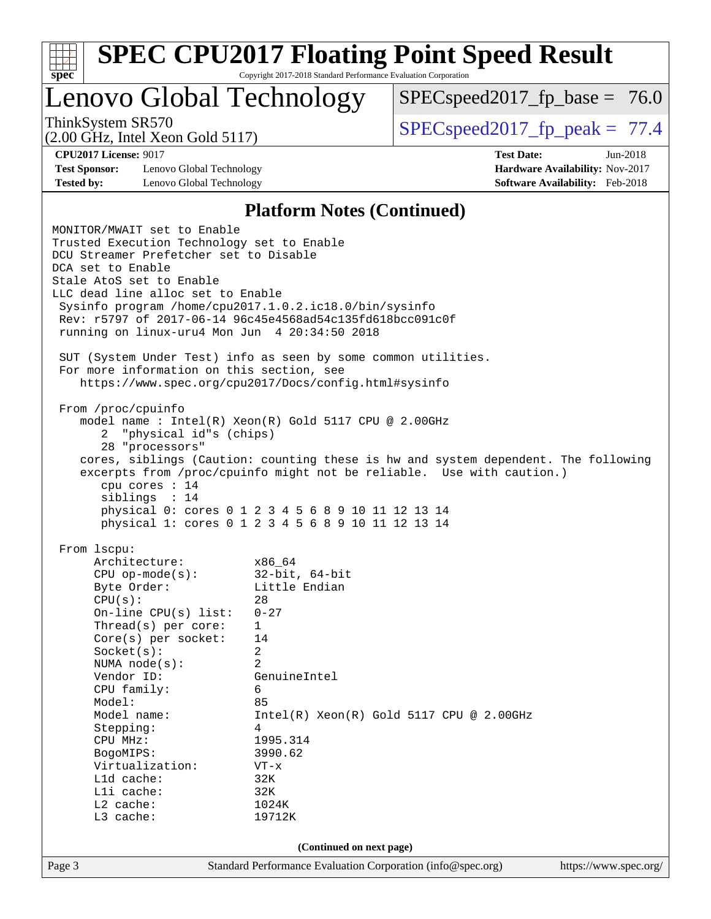| v.<br>t.<br>٠, |  |  |  |  |  |  |  |
|----------------|--|--|--|--|--|--|--|

Lenovo Global Technology

 $SPECspeed2017_fp\_base = 76.0$ 

(2.00 GHz, Intel Xeon Gold 5117)

ThinkSystem SR570  $SPEC speed2017$  fp\_peak = 77.4

**[Test Sponsor:](http://www.spec.org/auto/cpu2017/Docs/result-fields.html#TestSponsor)** Lenovo Global Technology **[Hardware Availability:](http://www.spec.org/auto/cpu2017/Docs/result-fields.html#HardwareAvailability)** Nov-2017 **[Tested by:](http://www.spec.org/auto/cpu2017/Docs/result-fields.html#Testedby)** Lenovo Global Technology **[Software Availability:](http://www.spec.org/auto/cpu2017/Docs/result-fields.html#SoftwareAvailability)** Feb-2018

**[CPU2017 License:](http://www.spec.org/auto/cpu2017/Docs/result-fields.html#CPU2017License)** 9017 **[Test Date:](http://www.spec.org/auto/cpu2017/Docs/result-fields.html#TestDate)** Jun-2018

#### **[Platform Notes \(Continued\)](http://www.spec.org/auto/cpu2017/Docs/result-fields.html#PlatformNotes)**

Page 3 Standard Performance Evaluation Corporation [\(info@spec.org\)](mailto:info@spec.org) <https://www.spec.org/> MONITOR/MWAIT set to Enable Trusted Execution Technology set to Enable DCU Streamer Prefetcher set to Disable DCA set to Enable Stale AtoS set to Enable LLC dead line alloc set to Enable Sysinfo program /home/cpu2017.1.0.2.ic18.0/bin/sysinfo Rev: r5797 of 2017-06-14 96c45e4568ad54c135fd618bcc091c0f running on linux-uru4 Mon Jun 4 20:34:50 2018 SUT (System Under Test) info as seen by some common utilities. For more information on this section, see <https://www.spec.org/cpu2017/Docs/config.html#sysinfo> From /proc/cpuinfo model name : Intel(R) Xeon(R) Gold 5117 CPU @ 2.00GHz 2 "physical id"s (chips) 28 "processors" cores, siblings (Caution: counting these is hw and system dependent. The following excerpts from /proc/cpuinfo might not be reliable. Use with caution.) cpu cores : 14 siblings : 14 physical 0: cores 0 1 2 3 4 5 6 8 9 10 11 12 13 14 physical 1: cores 0 1 2 3 4 5 6 8 9 10 11 12 13 14 From lscpu: Architecture: x86\_64 CPU op-mode(s): 32-bit, 64-bit Byte Order: Little Endian  $CPU(s):$  28 On-line CPU(s) list: 0-27 Thread(s) per core: 1 Core(s) per socket: 14 Socket(s): 2 NUMA node(s): 2 Vendor ID: GenuineIntel CPU family: 6 Model: 85 Model name:  $Intel(R)$  Xeon(R) Gold 5117 CPU @ 2.00GHz Stepping: 4 CPU MHz: 1995.314 BogoMIPS: 3990.62 Virtualization: VT-x L1d cache: 32K<br>
L1i cache: 32K  $L1i$  cache: L2 cache: 1024K L3 cache: 19712K **(Continued on next page)**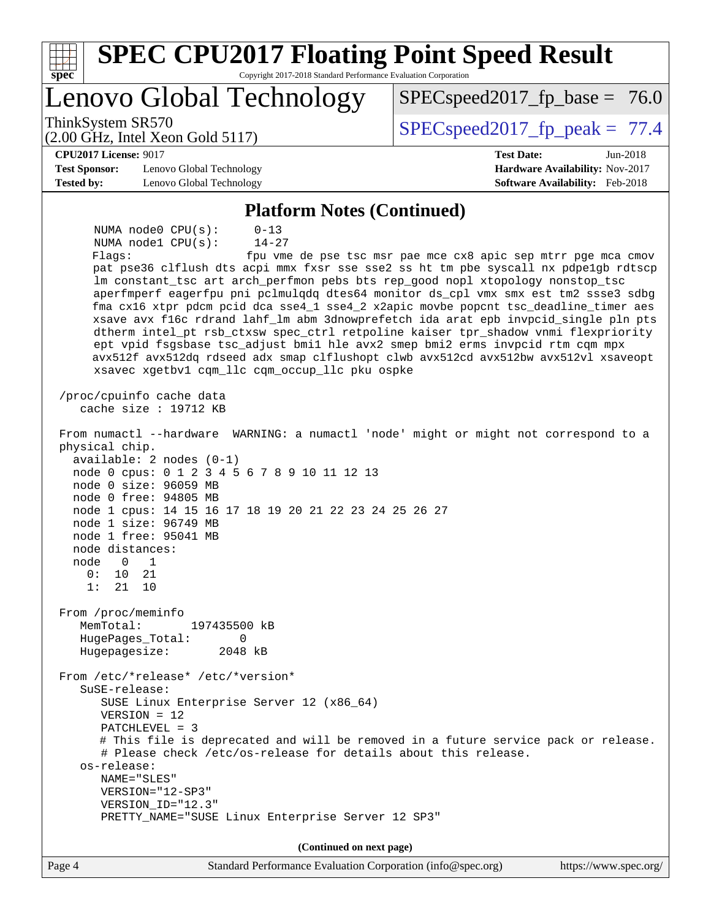| <b>SPEC CPU2017 Floating Point Speed Result</b>                                                                                                                                                                                                                                                                                                                                                                             |                                                                                                                                                                                                                                                                                                                                                                                                                                                                                                                                                                                                        |
|-----------------------------------------------------------------------------------------------------------------------------------------------------------------------------------------------------------------------------------------------------------------------------------------------------------------------------------------------------------------------------------------------------------------------------|--------------------------------------------------------------------------------------------------------------------------------------------------------------------------------------------------------------------------------------------------------------------------------------------------------------------------------------------------------------------------------------------------------------------------------------------------------------------------------------------------------------------------------------------------------------------------------------------------------|
| Copyright 2017-2018 Standard Performance Evaluation Corporation<br>spec®<br>Lenovo Global Technology                                                                                                                                                                                                                                                                                                                        | $SPEC speed2017_f p\_base = 76.0$                                                                                                                                                                                                                                                                                                                                                                                                                                                                                                                                                                      |
| ThinkSystem SR570<br>$(2.00 \text{ GHz}, \text{Intel Xeon Gold } 5117)$                                                                                                                                                                                                                                                                                                                                                     | $SPEC speed2017_fp\_peak = 77.4$                                                                                                                                                                                                                                                                                                                                                                                                                                                                                                                                                                       |
| <b>CPU2017 License: 9017</b><br><b>Test Sponsor:</b><br>Lenovo Global Technology<br><b>Tested by:</b><br>Lenovo Global Technology                                                                                                                                                                                                                                                                                           | <b>Test Date:</b><br>Jun-2018<br>Hardware Availability: Nov-2017<br>Software Availability: Feb-2018                                                                                                                                                                                                                                                                                                                                                                                                                                                                                                    |
|                                                                                                                                                                                                                                                                                                                                                                                                                             |                                                                                                                                                                                                                                                                                                                                                                                                                                                                                                                                                                                                        |
| <b>Platform Notes (Continued)</b><br>NUMA node0 CPU(s):<br>$0 - 13$<br>$14 - 27$<br>NUMA nodel CPU(s):<br>Flags:<br>lm constant_tsc art arch_perfmon pebs bts rep_good nopl xtopology nonstop_tsc<br>ept vpid fsgsbase tsc_adjust bmil hle avx2 smep bmi2 erms invpcid rtm cqm mpx<br>xsavec xgetbv1 cqm_llc cqm_occup_llc pku ospke                                                                                        | fpu vme de pse tsc msr pae mce cx8 apic sep mtrr pge mca cmov<br>pat pse36 clflush dts acpi mmx fxsr sse sse2 ss ht tm pbe syscall nx pdpelgb rdtscp<br>aperfmperf eagerfpu pni pclmulqdq dtes64 monitor ds_cpl vmx smx est tm2 ssse3 sdbg<br>fma cx16 xtpr pdcm pcid dca sse4_1 sse4_2 x2apic movbe popcnt tsc_deadline_timer aes<br>xsave avx f16c rdrand lahf_lm abm 3dnowprefetch ida arat epb invpcid_single pln pts<br>dtherm intel_pt rsb_ctxsw spec_ctrl retpoline kaiser tpr_shadow vnmi flexpriority<br>avx512f avx512dq rdseed adx smap clflushopt clwb avx512cd avx512bw avx512vl xsaveopt |
| /proc/cpuinfo cache data<br>cache size : 19712 KB                                                                                                                                                                                                                                                                                                                                                                           |                                                                                                                                                                                                                                                                                                                                                                                                                                                                                                                                                                                                        |
| From numactl --hardware WARNING: a numactl 'node' might or might not correspond to a<br>physical chip.<br>$available: 2 nodes (0-1)$<br>node 0 cpus: 0 1 2 3 4 5 6 7 8 9 10 11 12 13<br>node 0 size: 96059 MB<br>node 0 free: 94805 MB<br>node 1 cpus: 14 15 16 17 18 19 20 21 22 23 24 25 26 27<br>node 1 size: 96749 MB<br>node 1 free: 95041 MB<br>node distances:<br>node<br>1<br>0<br>0:<br>10<br>21<br>1:<br>21<br>10 |                                                                                                                                                                                                                                                                                                                                                                                                                                                                                                                                                                                                        |
| From /proc/meminfo<br>MemTotal:<br>197435500 kB<br>HugePages_Total:<br>0<br>Hugepagesize:<br>2048 kB                                                                                                                                                                                                                                                                                                                        |                                                                                                                                                                                                                                                                                                                                                                                                                                                                                                                                                                                                        |
| From /etc/*release* /etc/*version*<br>SuSE-release:<br>SUSE Linux Enterprise Server 12 (x86_64)<br>$VERSION = 12$<br>$PATCHLEVEL = 3$<br># Please check /etc/os-release for details about this release.<br>os-release:<br>NAME="SLES"<br>VERSION="12-SP3"<br>VERSION_ID="12.3"<br>PRETTY_NAME="SUSE Linux Enterprise Server 12 SP3"                                                                                         | # This file is deprecated and will be removed in a future service pack or release.                                                                                                                                                                                                                                                                                                                                                                                                                                                                                                                     |
| (Continued on next page)                                                                                                                                                                                                                                                                                                                                                                                                    |                                                                                                                                                                                                                                                                                                                                                                                                                                                                                                                                                                                                        |
| Page 4<br>Standard Performance Evaluation Corporation (info@spec.org)                                                                                                                                                                                                                                                                                                                                                       | https://www.spec.org/                                                                                                                                                                                                                                                                                                                                                                                                                                                                                                                                                                                  |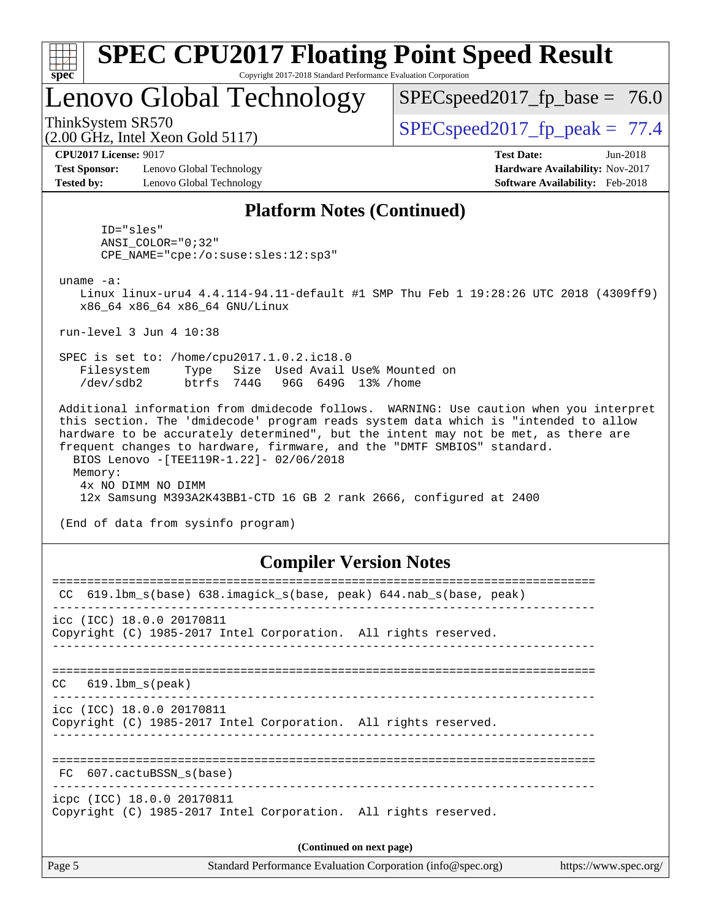| spec |  |  |
|------|--|--|

# **[SPEC CPU2017 Floating Point Speed Result](http://www.spec.org/auto/cpu2017/Docs/result-fields.html#SPECCPU2017FloatingPointSpeedResult)**

Copyright 2017-2018 Standard Performance Evaluation Corporation

## Lenovo Global Technology

 $SPECspeed2017_fp\_base = 76.0$ 

(2.00 GHz, Intel Xeon Gold 5117)

ThinkSystem SR570  $SPEC speed2017$  fp\_peak = 77.4

**[Test Sponsor:](http://www.spec.org/auto/cpu2017/Docs/result-fields.html#TestSponsor)** Lenovo Global Technology **[Hardware Availability:](http://www.spec.org/auto/cpu2017/Docs/result-fields.html#HardwareAvailability)** Nov-2017 **[Tested by:](http://www.spec.org/auto/cpu2017/Docs/result-fields.html#Testedby)** Lenovo Global Technology **[Software Availability:](http://www.spec.org/auto/cpu2017/Docs/result-fields.html#SoftwareAvailability)** Feb-2018

**[CPU2017 License:](http://www.spec.org/auto/cpu2017/Docs/result-fields.html#CPU2017License)** 9017 **[Test Date:](http://www.spec.org/auto/cpu2017/Docs/result-fields.html#TestDate)** Jun-2018

#### **[Platform Notes \(Continued\)](http://www.spec.org/auto/cpu2017/Docs/result-fields.html#PlatformNotes)**

 ID="sles" ANSI\_COLOR="0;32" CPE\_NAME="cpe:/o:suse:sles:12:sp3"

uname -a:

 Linux linux-uru4 4.4.114-94.11-default #1 SMP Thu Feb 1 19:28:26 UTC 2018 (4309ff9) x86\_64 x86\_64 x86\_64 GNU/Linux

run-level 3 Jun 4 10:38

 SPEC is set to: /home/cpu2017.1.0.2.ic18.0 Filesystem Type Size Used Avail Use% Mounted on /dev/sdb2 btrfs 744G 96G 649G 13% /home

 Additional information from dmidecode follows. WARNING: Use caution when you interpret this section. The 'dmidecode' program reads system data which is "intended to allow hardware to be accurately determined", but the intent may not be met, as there are frequent changes to hardware, firmware, and the "DMTF SMBIOS" standard. BIOS Lenovo -[TEE119R-1.22]- 02/06/2018 Memory: 4x NO DIMM NO DIMM 12x Samsung M393A2K43BB1-CTD 16 GB 2 rank 2666, configured at 2400

(End of data from sysinfo program)

#### **[Compiler Version Notes](http://www.spec.org/auto/cpu2017/Docs/result-fields.html#CompilerVersionNotes)**

| 619.1bm s(base) 638.imagick s(base, peak) 644.nab s(base, peak)<br>CC.                        |  |  |  |  |  |  |
|-----------------------------------------------------------------------------------------------|--|--|--|--|--|--|
| icc (ICC) 18.0.0 20170811<br>Copyright (C) 1985-2017 Intel Corporation. All rights reserved.  |  |  |  |  |  |  |
| $CC$ 619.1bm $s$ (peak)                                                                       |  |  |  |  |  |  |
| icc (ICC) 18.0.0 20170811<br>Copyright (C) 1985-2017 Intel Corporation. All rights reserved.  |  |  |  |  |  |  |
| FC 607.cactuBSSN_s(base)                                                                      |  |  |  |  |  |  |
| icpc (ICC) 18.0.0 20170811<br>Copyright (C) 1985-2017 Intel Corporation. All rights reserved. |  |  |  |  |  |  |
| (Continued on next page)                                                                      |  |  |  |  |  |  |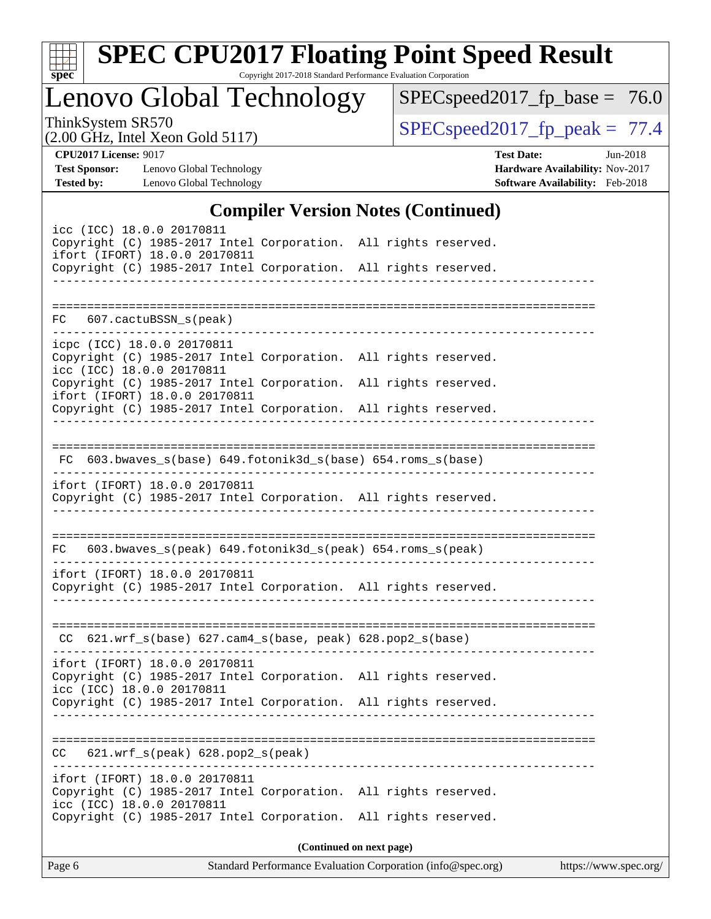| v.<br>ť |  |  |  |  |  |  |  |
|---------|--|--|--|--|--|--|--|

# **[SPEC CPU2017 Floating Point Speed Result](http://www.spec.org/auto/cpu2017/Docs/result-fields.html#SPECCPU2017FloatingPointSpeedResult)**

Copyright 2017-2018 Standard Performance Evaluation Corporation

Lenovo Global Technology

 $SPECspeed2017_fp\_base = 76.0$ 

(2.00 GHz, Intel Xeon Gold 5117)

ThinkSystem SR570<br>  $(2.00 \text{ GHz})$  Intel Xeon Gold 5117) [SPECspeed2017\\_fp\\_peak =](http://www.spec.org/auto/cpu2017/Docs/result-fields.html#SPECspeed2017fppeak) 77.4

**[CPU2017 License:](http://www.spec.org/auto/cpu2017/Docs/result-fields.html#CPU2017License)** 9017

**[Test Sponsor:](http://www.spec.org/auto/cpu2017/Docs/result-fields.html#TestSponsor)** Lenovo Global Technology **[Tested by:](http://www.spec.org/auto/cpu2017/Docs/result-fields.html#Testedby)** Lenovo Global Technology

| <b>Test Date:</b>                      | Jun-2018 |
|----------------------------------------|----------|
| <b>Hardware Availability: Nov-2017</b> |          |
| <b>Software Availability:</b> Feb-2018 |          |

#### **[Compiler Version Notes \(Continued\)](http://www.spec.org/auto/cpu2017/Docs/result-fields.html#CompilerVersionNotes)**

|                                                                                                                                                                                                  |                                                              | $\mathbf{[Coulomb]}$ version rotes ( $\mathbf{[Coulomb]}$   |                          |                       |
|--------------------------------------------------------------------------------------------------------------------------------------------------------------------------------------------------|--------------------------------------------------------------|-------------------------------------------------------------|--------------------------|-----------------------|
| icc (ICC) 18.0.0 20170811<br>Copyright (C) 1985-2017 Intel Corporation. All rights reserved.<br>ifort (IFORT) 18.0.0 20170811<br>Copyright (C) 1985-2017 Intel Corporation. All rights reserved. |                                                              |                                                             |                          |                       |
|                                                                                                                                                                                                  |                                                              | __________________                                          |                          |                       |
| FC                                                                                                                                                                                               | 607.cactuBSSN_s(peak)                                        |                                                             |                          |                       |
| icpc (ICC) 18.0.0 20170811<br>Copyright (C) 1985-2017 Intel Corporation. All rights reserved.<br>icc (ICC) 18.0.0 20170811                                                                       |                                                              |                                                             |                          |                       |
| Copyright (C) 1985-2017 Intel Corporation. All rights reserved.<br>ifort (IFORT) 18.0.0 20170811<br>Copyright (C) 1985-2017 Intel Corporation. All rights reserved.                              |                                                              |                                                             |                          |                       |
|                                                                                                                                                                                                  | FC 603.bwaves_s(base) 649.fotonik3d_s(base) 654.roms_s(base) |                                                             |                          |                       |
| ifort (IFORT) 18.0.0 20170811<br>Copyright (C) 1985-2017 Intel Corporation. All rights reserved.                                                                                                 |                                                              |                                                             |                          |                       |
| FC                                                                                                                                                                                               | 603.bwaves_s(peak) 649.fotonik3d_s(peak) 654.roms_s(peak)    |                                                             |                          |                       |
| ifort (IFORT) 18.0.0 20170811<br>Copyright (C) 1985-2017 Intel Corporation. All rights reserved.                                                                                                 |                                                              |                                                             |                          |                       |
|                                                                                                                                                                                                  | $CC$ 621.wrf_s(base) 627.cam4_s(base, peak) 628.pop2_s(base) |                                                             |                          |                       |
| ifort (IFORT) 18.0.0 20170811<br>Copyright (C) 1985-2017 Intel Corporation. All rights reserved.<br>icc (ICC) 18.0.0 20170811                                                                    |                                                              |                                                             |                          |                       |
| Copyright (C) 1985-2017 Intel Corporation. All rights reserved.                                                                                                                                  |                                                              |                                                             |                          |                       |
| CC.                                                                                                                                                                                              | $621.wrf_s(peak)$ $628.pop2_s(peak)$                         |                                                             |                          |                       |
| ifort (IFORT) 18.0.0 20170811<br>Copyright (C) 1985-2017 Intel Corporation. All rights reserved.<br>icc (ICC) 18.0.0 20170811                                                                    |                                                              |                                                             |                          |                       |
| Copyright (C) 1985-2017 Intel Corporation. All rights reserved.                                                                                                                                  |                                                              |                                                             |                          |                       |
| Page 6                                                                                                                                                                                           |                                                              | Standard Performance Evaluation Corporation (info@spec.org) | (Continued on next page) | https://www.spec.org/ |
|                                                                                                                                                                                                  |                                                              |                                                             |                          |                       |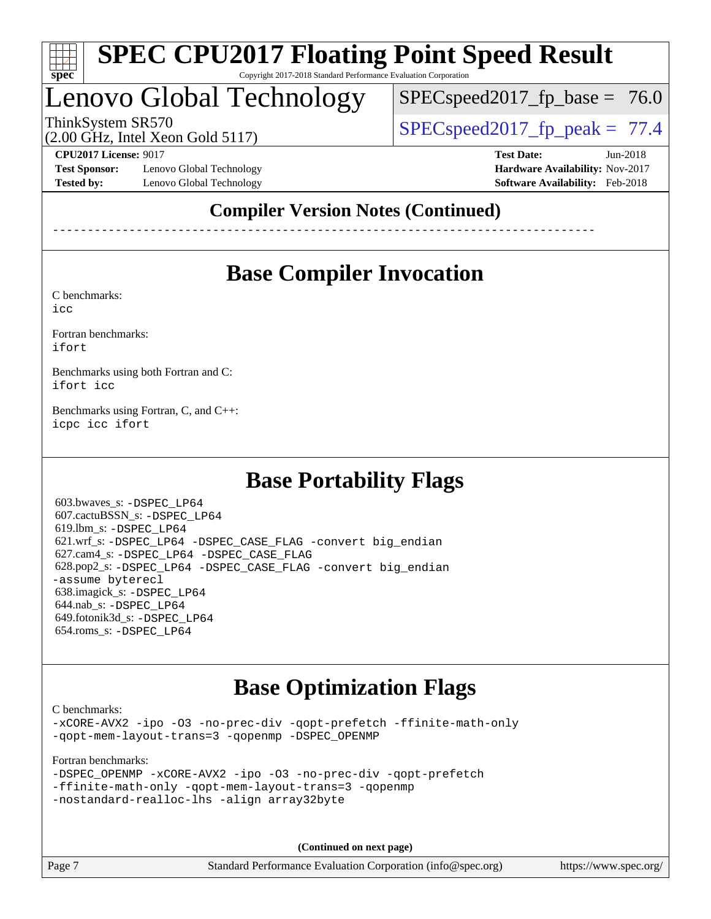

# Lenovo Global Technology

 $SPECspeed2017_fp\_base = 76.0$ 

(2.00 GHz, Intel Xeon Gold 5117)

ThinkSystem SR570  $SPEC speed2017$  fp\_peak = 77.4

**[Test Sponsor:](http://www.spec.org/auto/cpu2017/Docs/result-fields.html#TestSponsor)** Lenovo Global Technology **[Hardware Availability:](http://www.spec.org/auto/cpu2017/Docs/result-fields.html#HardwareAvailability)** Nov-2017 **[Tested by:](http://www.spec.org/auto/cpu2017/Docs/result-fields.html#Testedby)** Lenovo Global Technology **[Software Availability:](http://www.spec.org/auto/cpu2017/Docs/result-fields.html#SoftwareAvailability)** Feb-2018

**[CPU2017 License:](http://www.spec.org/auto/cpu2017/Docs/result-fields.html#CPU2017License)** 9017 **[Test Date:](http://www.spec.org/auto/cpu2017/Docs/result-fields.html#TestDate)** Jun-2018

### **[Compiler Version Notes \(Continued\)](http://www.spec.org/auto/cpu2017/Docs/result-fields.html#CompilerVersionNotes)**

------------------------------------------------------------------------------

## **[Base Compiler Invocation](http://www.spec.org/auto/cpu2017/Docs/result-fields.html#BaseCompilerInvocation)**

[C benchmarks](http://www.spec.org/auto/cpu2017/Docs/result-fields.html#Cbenchmarks):

[icc](http://www.spec.org/cpu2017/results/res2018q2/cpu2017-20180612-06997.flags.html#user_CCbase_intel_icc_18.0_66fc1ee009f7361af1fbd72ca7dcefbb700085f36577c54f309893dd4ec40d12360134090235512931783d35fd58c0460139e722d5067c5574d8eaf2b3e37e92)

[Fortran benchmarks](http://www.spec.org/auto/cpu2017/Docs/result-fields.html#Fortranbenchmarks): [ifort](http://www.spec.org/cpu2017/results/res2018q2/cpu2017-20180612-06997.flags.html#user_FCbase_intel_ifort_18.0_8111460550e3ca792625aed983ce982f94888b8b503583aa7ba2b8303487b4d8a21a13e7191a45c5fd58ff318f48f9492884d4413fa793fd88dd292cad7027ca)

[Benchmarks using both Fortran and C](http://www.spec.org/auto/cpu2017/Docs/result-fields.html#BenchmarksusingbothFortranandC): [ifort](http://www.spec.org/cpu2017/results/res2018q2/cpu2017-20180612-06997.flags.html#user_CC_FCbase_intel_ifort_18.0_8111460550e3ca792625aed983ce982f94888b8b503583aa7ba2b8303487b4d8a21a13e7191a45c5fd58ff318f48f9492884d4413fa793fd88dd292cad7027ca) [icc](http://www.spec.org/cpu2017/results/res2018q2/cpu2017-20180612-06997.flags.html#user_CC_FCbase_intel_icc_18.0_66fc1ee009f7361af1fbd72ca7dcefbb700085f36577c54f309893dd4ec40d12360134090235512931783d35fd58c0460139e722d5067c5574d8eaf2b3e37e92)

[Benchmarks using Fortran, C, and C++:](http://www.spec.org/auto/cpu2017/Docs/result-fields.html#BenchmarksusingFortranCandCXX) [icpc](http://www.spec.org/cpu2017/results/res2018q2/cpu2017-20180612-06997.flags.html#user_CC_CXX_FCbase_intel_icpc_18.0_c510b6838c7f56d33e37e94d029a35b4a7bccf4766a728ee175e80a419847e808290a9b78be685c44ab727ea267ec2f070ec5dc83b407c0218cded6866a35d07) [icc](http://www.spec.org/cpu2017/results/res2018q2/cpu2017-20180612-06997.flags.html#user_CC_CXX_FCbase_intel_icc_18.0_66fc1ee009f7361af1fbd72ca7dcefbb700085f36577c54f309893dd4ec40d12360134090235512931783d35fd58c0460139e722d5067c5574d8eaf2b3e37e92) [ifort](http://www.spec.org/cpu2017/results/res2018q2/cpu2017-20180612-06997.flags.html#user_CC_CXX_FCbase_intel_ifort_18.0_8111460550e3ca792625aed983ce982f94888b8b503583aa7ba2b8303487b4d8a21a13e7191a45c5fd58ff318f48f9492884d4413fa793fd88dd292cad7027ca)

## **[Base Portability Flags](http://www.spec.org/auto/cpu2017/Docs/result-fields.html#BasePortabilityFlags)**

 603.bwaves\_s: [-DSPEC\\_LP64](http://www.spec.org/cpu2017/results/res2018q2/cpu2017-20180612-06997.flags.html#suite_basePORTABILITY603_bwaves_s_DSPEC_LP64) 607.cactuBSSN\_s: [-DSPEC\\_LP64](http://www.spec.org/cpu2017/results/res2018q2/cpu2017-20180612-06997.flags.html#suite_basePORTABILITY607_cactuBSSN_s_DSPEC_LP64) 619.lbm\_s: [-DSPEC\\_LP64](http://www.spec.org/cpu2017/results/res2018q2/cpu2017-20180612-06997.flags.html#suite_basePORTABILITY619_lbm_s_DSPEC_LP64) 621.wrf\_s: [-DSPEC\\_LP64](http://www.spec.org/cpu2017/results/res2018q2/cpu2017-20180612-06997.flags.html#suite_basePORTABILITY621_wrf_s_DSPEC_LP64) [-DSPEC\\_CASE\\_FLAG](http://www.spec.org/cpu2017/results/res2018q2/cpu2017-20180612-06997.flags.html#b621.wrf_s_baseCPORTABILITY_DSPEC_CASE_FLAG) [-convert big\\_endian](http://www.spec.org/cpu2017/results/res2018q2/cpu2017-20180612-06997.flags.html#user_baseFPORTABILITY621_wrf_s_convert_big_endian_c3194028bc08c63ac5d04de18c48ce6d347e4e562e8892b8bdbdc0214820426deb8554edfa529a3fb25a586e65a3d812c835984020483e7e73212c4d31a38223) 627.cam4\_s: [-DSPEC\\_LP64](http://www.spec.org/cpu2017/results/res2018q2/cpu2017-20180612-06997.flags.html#suite_basePORTABILITY627_cam4_s_DSPEC_LP64) [-DSPEC\\_CASE\\_FLAG](http://www.spec.org/cpu2017/results/res2018q2/cpu2017-20180612-06997.flags.html#b627.cam4_s_baseCPORTABILITY_DSPEC_CASE_FLAG) 628.pop2\_s: [-DSPEC\\_LP64](http://www.spec.org/cpu2017/results/res2018q2/cpu2017-20180612-06997.flags.html#suite_basePORTABILITY628_pop2_s_DSPEC_LP64) [-DSPEC\\_CASE\\_FLAG](http://www.spec.org/cpu2017/results/res2018q2/cpu2017-20180612-06997.flags.html#b628.pop2_s_baseCPORTABILITY_DSPEC_CASE_FLAG) [-convert big\\_endian](http://www.spec.org/cpu2017/results/res2018q2/cpu2017-20180612-06997.flags.html#user_baseFPORTABILITY628_pop2_s_convert_big_endian_c3194028bc08c63ac5d04de18c48ce6d347e4e562e8892b8bdbdc0214820426deb8554edfa529a3fb25a586e65a3d812c835984020483e7e73212c4d31a38223) [-assume byterecl](http://www.spec.org/cpu2017/results/res2018q2/cpu2017-20180612-06997.flags.html#user_baseFPORTABILITY628_pop2_s_assume_byterecl_7e47d18b9513cf18525430bbf0f2177aa9bf368bc7a059c09b2c06a34b53bd3447c950d3f8d6c70e3faf3a05c8557d66a5798b567902e8849adc142926523472) 638.imagick\_s: [-DSPEC\\_LP64](http://www.spec.org/cpu2017/results/res2018q2/cpu2017-20180612-06997.flags.html#suite_basePORTABILITY638_imagick_s_DSPEC_LP64) 644.nab\_s: [-DSPEC\\_LP64](http://www.spec.org/cpu2017/results/res2018q2/cpu2017-20180612-06997.flags.html#suite_basePORTABILITY644_nab_s_DSPEC_LP64) 649.fotonik3d\_s: [-DSPEC\\_LP64](http://www.spec.org/cpu2017/results/res2018q2/cpu2017-20180612-06997.flags.html#suite_basePORTABILITY649_fotonik3d_s_DSPEC_LP64) 654.roms\_s: [-DSPEC\\_LP64](http://www.spec.org/cpu2017/results/res2018q2/cpu2017-20180612-06997.flags.html#suite_basePORTABILITY654_roms_s_DSPEC_LP64)

## **[Base Optimization Flags](http://www.spec.org/auto/cpu2017/Docs/result-fields.html#BaseOptimizationFlags)**

[C benchmarks](http://www.spec.org/auto/cpu2017/Docs/result-fields.html#Cbenchmarks): [-xCORE-AVX2](http://www.spec.org/cpu2017/results/res2018q2/cpu2017-20180612-06997.flags.html#user_CCbase_f-xCORE-AVX2) [-ipo](http://www.spec.org/cpu2017/results/res2018q2/cpu2017-20180612-06997.flags.html#user_CCbase_f-ipo) [-O3](http://www.spec.org/cpu2017/results/res2018q2/cpu2017-20180612-06997.flags.html#user_CCbase_f-O3) [-no-prec-div](http://www.spec.org/cpu2017/results/res2018q2/cpu2017-20180612-06997.flags.html#user_CCbase_f-no-prec-div) [-qopt-prefetch](http://www.spec.org/cpu2017/results/res2018q2/cpu2017-20180612-06997.flags.html#user_CCbase_f-qopt-prefetch) [-ffinite-math-only](http://www.spec.org/cpu2017/results/res2018q2/cpu2017-20180612-06997.flags.html#user_CCbase_f_finite_math_only_cb91587bd2077682c4b38af759c288ed7c732db004271a9512da14a4f8007909a5f1427ecbf1a0fb78ff2a814402c6114ac565ca162485bbcae155b5e4258871) [-qopt-mem-layout-trans=3](http://www.spec.org/cpu2017/results/res2018q2/cpu2017-20180612-06997.flags.html#user_CCbase_f-qopt-mem-layout-trans_de80db37974c74b1f0e20d883f0b675c88c3b01e9d123adea9b28688d64333345fb62bc4a798493513fdb68f60282f9a726aa07f478b2f7113531aecce732043) [-qopenmp](http://www.spec.org/cpu2017/results/res2018q2/cpu2017-20180612-06997.flags.html#user_CCbase_qopenmp_16be0c44f24f464004c6784a7acb94aca937f053568ce72f94b139a11c7c168634a55f6653758ddd83bcf7b8463e8028bb0b48b77bcddc6b78d5d95bb1df2967) [-DSPEC\\_OPENMP](http://www.spec.org/cpu2017/results/res2018q2/cpu2017-20180612-06997.flags.html#suite_CCbase_DSPEC_OPENMP)

[Fortran benchmarks](http://www.spec.org/auto/cpu2017/Docs/result-fields.html#Fortranbenchmarks):

| -DSPEC OPENMP -xCORE-AVX2 -ipo -03 -no-prec-div -gopt-prefetch |  |  |  |
|----------------------------------------------------------------|--|--|--|
| -ffinite-math-only -qopt-mem-layout-trans=3 -qopenmp           |  |  |  |
| -nostandard-realloc-lhs -align array32byte                     |  |  |  |

**(Continued on next page)**

Page 7 Standard Performance Evaluation Corporation [\(info@spec.org\)](mailto:info@spec.org) <https://www.spec.org/>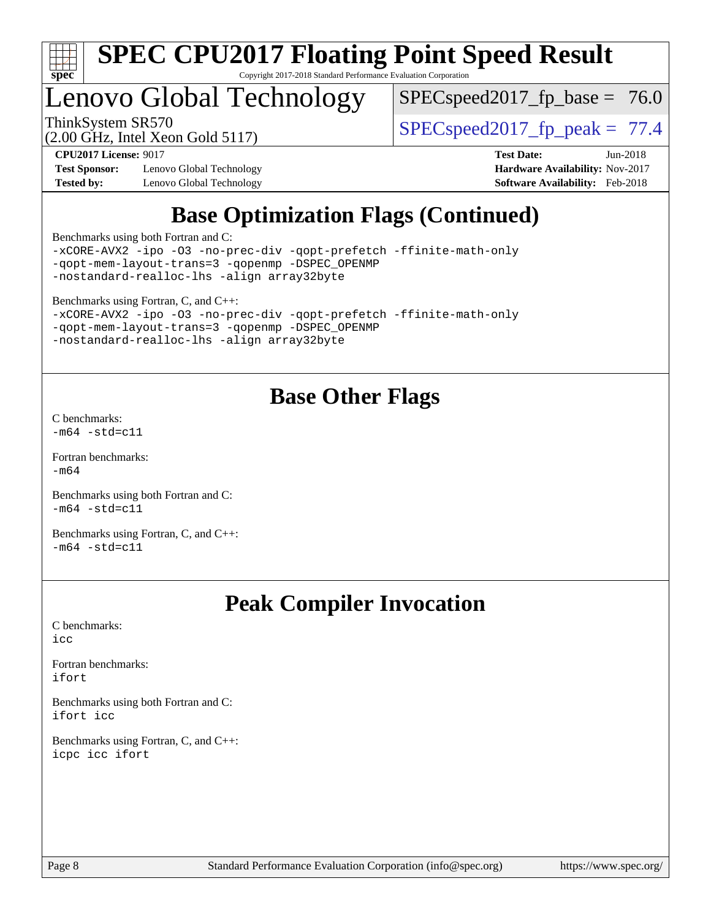

## Lenovo Global Technology

 $SPEC speed2017_fp\_base = 76.0$ 

ThinkSystem SR570<br>  $\begin{array}{|l|l|}\n\hline\n\text{ShinkSystem} & \text{Stab} \\
\hline\n\text{Stab} & \text{Stab} \\
\hline\n\end{array}$  [SPECspeed2017\\_fp\\_peak =](http://www.spec.org/auto/cpu2017/Docs/result-fields.html#SPECspeed2017fppeak) 77.4

**[Test Sponsor:](http://www.spec.org/auto/cpu2017/Docs/result-fields.html#TestSponsor)** Lenovo Global Technology **[Hardware Availability:](http://www.spec.org/auto/cpu2017/Docs/result-fields.html#HardwareAvailability)** Nov-2017 **[Tested by:](http://www.spec.org/auto/cpu2017/Docs/result-fields.html#Testedby)** Lenovo Global Technology **[Software Availability:](http://www.spec.org/auto/cpu2017/Docs/result-fields.html#SoftwareAvailability)** Feb-2018

(2.00 GHz, Intel Xeon Gold 5117)

**[CPU2017 License:](http://www.spec.org/auto/cpu2017/Docs/result-fields.html#CPU2017License)** 9017 **[Test Date:](http://www.spec.org/auto/cpu2017/Docs/result-fields.html#TestDate)** Jun-2018

## **[Base Optimization Flags \(Continued\)](http://www.spec.org/auto/cpu2017/Docs/result-fields.html#BaseOptimizationFlags)**

[Benchmarks using both Fortran and C](http://www.spec.org/auto/cpu2017/Docs/result-fields.html#BenchmarksusingbothFortranandC):

[-xCORE-AVX2](http://www.spec.org/cpu2017/results/res2018q2/cpu2017-20180612-06997.flags.html#user_CC_FCbase_f-xCORE-AVX2) [-ipo](http://www.spec.org/cpu2017/results/res2018q2/cpu2017-20180612-06997.flags.html#user_CC_FCbase_f-ipo) [-O3](http://www.spec.org/cpu2017/results/res2018q2/cpu2017-20180612-06997.flags.html#user_CC_FCbase_f-O3) [-no-prec-div](http://www.spec.org/cpu2017/results/res2018q2/cpu2017-20180612-06997.flags.html#user_CC_FCbase_f-no-prec-div) [-qopt-prefetch](http://www.spec.org/cpu2017/results/res2018q2/cpu2017-20180612-06997.flags.html#user_CC_FCbase_f-qopt-prefetch) [-ffinite-math-only](http://www.spec.org/cpu2017/results/res2018q2/cpu2017-20180612-06997.flags.html#user_CC_FCbase_f_finite_math_only_cb91587bd2077682c4b38af759c288ed7c732db004271a9512da14a4f8007909a5f1427ecbf1a0fb78ff2a814402c6114ac565ca162485bbcae155b5e4258871) [-qopt-mem-layout-trans=3](http://www.spec.org/cpu2017/results/res2018q2/cpu2017-20180612-06997.flags.html#user_CC_FCbase_f-qopt-mem-layout-trans_de80db37974c74b1f0e20d883f0b675c88c3b01e9d123adea9b28688d64333345fb62bc4a798493513fdb68f60282f9a726aa07f478b2f7113531aecce732043) [-qopenmp](http://www.spec.org/cpu2017/results/res2018q2/cpu2017-20180612-06997.flags.html#user_CC_FCbase_qopenmp_16be0c44f24f464004c6784a7acb94aca937f053568ce72f94b139a11c7c168634a55f6653758ddd83bcf7b8463e8028bb0b48b77bcddc6b78d5d95bb1df2967) [-DSPEC\\_OPENMP](http://www.spec.org/cpu2017/results/res2018q2/cpu2017-20180612-06997.flags.html#suite_CC_FCbase_DSPEC_OPENMP) [-nostandard-realloc-lhs](http://www.spec.org/cpu2017/results/res2018q2/cpu2017-20180612-06997.flags.html#user_CC_FCbase_f_2003_std_realloc_82b4557e90729c0f113870c07e44d33d6f5a304b4f63d4c15d2d0f1fab99f5daaed73bdb9275d9ae411527f28b936061aa8b9c8f2d63842963b95c9dd6426b8a) [-align array32byte](http://www.spec.org/cpu2017/results/res2018q2/cpu2017-20180612-06997.flags.html#user_CC_FCbase_align_array32byte_b982fe038af199962ba9a80c053b8342c548c85b40b8e86eb3cc33dee0d7986a4af373ac2d51c3f7cf710a18d62fdce2948f201cd044323541f22fc0fffc51b6)

[Benchmarks using Fortran, C, and C++:](http://www.spec.org/auto/cpu2017/Docs/result-fields.html#BenchmarksusingFortranCandCXX)

[-xCORE-AVX2](http://www.spec.org/cpu2017/results/res2018q2/cpu2017-20180612-06997.flags.html#user_CC_CXX_FCbase_f-xCORE-AVX2) [-ipo](http://www.spec.org/cpu2017/results/res2018q2/cpu2017-20180612-06997.flags.html#user_CC_CXX_FCbase_f-ipo) [-O3](http://www.spec.org/cpu2017/results/res2018q2/cpu2017-20180612-06997.flags.html#user_CC_CXX_FCbase_f-O3) [-no-prec-div](http://www.spec.org/cpu2017/results/res2018q2/cpu2017-20180612-06997.flags.html#user_CC_CXX_FCbase_f-no-prec-div) [-qopt-prefetch](http://www.spec.org/cpu2017/results/res2018q2/cpu2017-20180612-06997.flags.html#user_CC_CXX_FCbase_f-qopt-prefetch) [-ffinite-math-only](http://www.spec.org/cpu2017/results/res2018q2/cpu2017-20180612-06997.flags.html#user_CC_CXX_FCbase_f_finite_math_only_cb91587bd2077682c4b38af759c288ed7c732db004271a9512da14a4f8007909a5f1427ecbf1a0fb78ff2a814402c6114ac565ca162485bbcae155b5e4258871) [-qopt-mem-layout-trans=3](http://www.spec.org/cpu2017/results/res2018q2/cpu2017-20180612-06997.flags.html#user_CC_CXX_FCbase_f-qopt-mem-layout-trans_de80db37974c74b1f0e20d883f0b675c88c3b01e9d123adea9b28688d64333345fb62bc4a798493513fdb68f60282f9a726aa07f478b2f7113531aecce732043) [-qopenmp](http://www.spec.org/cpu2017/results/res2018q2/cpu2017-20180612-06997.flags.html#user_CC_CXX_FCbase_qopenmp_16be0c44f24f464004c6784a7acb94aca937f053568ce72f94b139a11c7c168634a55f6653758ddd83bcf7b8463e8028bb0b48b77bcddc6b78d5d95bb1df2967) [-DSPEC\\_OPENMP](http://www.spec.org/cpu2017/results/res2018q2/cpu2017-20180612-06997.flags.html#suite_CC_CXX_FCbase_DSPEC_OPENMP) [-nostandard-realloc-lhs](http://www.spec.org/cpu2017/results/res2018q2/cpu2017-20180612-06997.flags.html#user_CC_CXX_FCbase_f_2003_std_realloc_82b4557e90729c0f113870c07e44d33d6f5a304b4f63d4c15d2d0f1fab99f5daaed73bdb9275d9ae411527f28b936061aa8b9c8f2d63842963b95c9dd6426b8a) [-align array32byte](http://www.spec.org/cpu2017/results/res2018q2/cpu2017-20180612-06997.flags.html#user_CC_CXX_FCbase_align_array32byte_b982fe038af199962ba9a80c053b8342c548c85b40b8e86eb3cc33dee0d7986a4af373ac2d51c3f7cf710a18d62fdce2948f201cd044323541f22fc0fffc51b6)

## **[Base Other Flags](http://www.spec.org/auto/cpu2017/Docs/result-fields.html#BaseOtherFlags)**

[C benchmarks](http://www.spec.org/auto/cpu2017/Docs/result-fields.html#Cbenchmarks):  $-m64 - std= c11$  $-m64 - std= c11$ 

[Fortran benchmarks](http://www.spec.org/auto/cpu2017/Docs/result-fields.html#Fortranbenchmarks): [-m64](http://www.spec.org/cpu2017/results/res2018q2/cpu2017-20180612-06997.flags.html#user_FCbase_intel_intel64_18.0_af43caccfc8ded86e7699f2159af6efc7655f51387b94da716254467f3c01020a5059329e2569e4053f409e7c9202a7efc638f7a6d1ffb3f52dea4a3e31d82ab)

[Benchmarks using both Fortran and C](http://www.spec.org/auto/cpu2017/Docs/result-fields.html#BenchmarksusingbothFortranandC):  $-m64 - std= c11$  $-m64 - std= c11$ 

[Benchmarks using Fortran, C, and C++:](http://www.spec.org/auto/cpu2017/Docs/result-fields.html#BenchmarksusingFortranCandCXX)  $-m64 - std= c11$  $-m64 - std= c11$ 

## **[Peak Compiler Invocation](http://www.spec.org/auto/cpu2017/Docs/result-fields.html#PeakCompilerInvocation)**

[C benchmarks](http://www.spec.org/auto/cpu2017/Docs/result-fields.html#Cbenchmarks): [icc](http://www.spec.org/cpu2017/results/res2018q2/cpu2017-20180612-06997.flags.html#user_CCpeak_intel_icc_18.0_66fc1ee009f7361af1fbd72ca7dcefbb700085f36577c54f309893dd4ec40d12360134090235512931783d35fd58c0460139e722d5067c5574d8eaf2b3e37e92)

[Fortran benchmarks](http://www.spec.org/auto/cpu2017/Docs/result-fields.html#Fortranbenchmarks): [ifort](http://www.spec.org/cpu2017/results/res2018q2/cpu2017-20180612-06997.flags.html#user_FCpeak_intel_ifort_18.0_8111460550e3ca792625aed983ce982f94888b8b503583aa7ba2b8303487b4d8a21a13e7191a45c5fd58ff318f48f9492884d4413fa793fd88dd292cad7027ca)

[Benchmarks using both Fortran and C](http://www.spec.org/auto/cpu2017/Docs/result-fields.html#BenchmarksusingbothFortranandC): [ifort](http://www.spec.org/cpu2017/results/res2018q2/cpu2017-20180612-06997.flags.html#user_CC_FCpeak_intel_ifort_18.0_8111460550e3ca792625aed983ce982f94888b8b503583aa7ba2b8303487b4d8a21a13e7191a45c5fd58ff318f48f9492884d4413fa793fd88dd292cad7027ca) [icc](http://www.spec.org/cpu2017/results/res2018q2/cpu2017-20180612-06997.flags.html#user_CC_FCpeak_intel_icc_18.0_66fc1ee009f7361af1fbd72ca7dcefbb700085f36577c54f309893dd4ec40d12360134090235512931783d35fd58c0460139e722d5067c5574d8eaf2b3e37e92)

[Benchmarks using Fortran, C, and C++:](http://www.spec.org/auto/cpu2017/Docs/result-fields.html#BenchmarksusingFortranCandCXX) [icpc](http://www.spec.org/cpu2017/results/res2018q2/cpu2017-20180612-06997.flags.html#user_CC_CXX_FCpeak_intel_icpc_18.0_c510b6838c7f56d33e37e94d029a35b4a7bccf4766a728ee175e80a419847e808290a9b78be685c44ab727ea267ec2f070ec5dc83b407c0218cded6866a35d07) [icc](http://www.spec.org/cpu2017/results/res2018q2/cpu2017-20180612-06997.flags.html#user_CC_CXX_FCpeak_intel_icc_18.0_66fc1ee009f7361af1fbd72ca7dcefbb700085f36577c54f309893dd4ec40d12360134090235512931783d35fd58c0460139e722d5067c5574d8eaf2b3e37e92) [ifort](http://www.spec.org/cpu2017/results/res2018q2/cpu2017-20180612-06997.flags.html#user_CC_CXX_FCpeak_intel_ifort_18.0_8111460550e3ca792625aed983ce982f94888b8b503583aa7ba2b8303487b4d8a21a13e7191a45c5fd58ff318f48f9492884d4413fa793fd88dd292cad7027ca)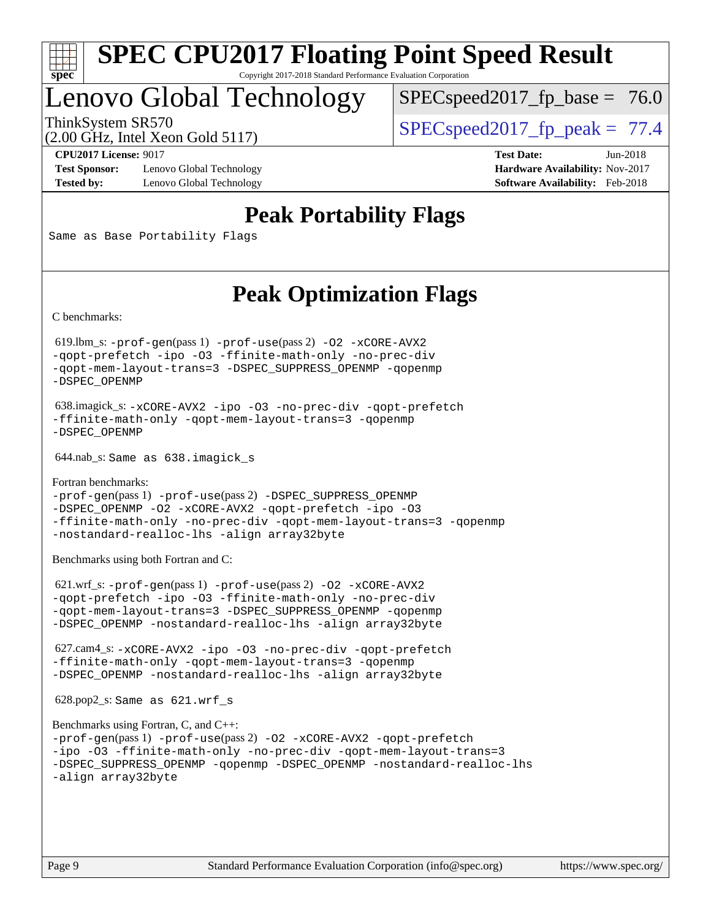

## Lenovo Global Technology

 $SPECspeed2017_fp\_base = 76.0$ 

(2.00 GHz, Intel Xeon Gold 5117)

ThinkSystem SR570  $SPEC speed2017$  fp\_peak = 77.4

**[Test Sponsor:](http://www.spec.org/auto/cpu2017/Docs/result-fields.html#TestSponsor)** Lenovo Global Technology **[Hardware Availability:](http://www.spec.org/auto/cpu2017/Docs/result-fields.html#HardwareAvailability)** Nov-2017 **[Tested by:](http://www.spec.org/auto/cpu2017/Docs/result-fields.html#Testedby)** Lenovo Global Technology **[Software Availability:](http://www.spec.org/auto/cpu2017/Docs/result-fields.html#SoftwareAvailability)** Feb-2018

**[CPU2017 License:](http://www.spec.org/auto/cpu2017/Docs/result-fields.html#CPU2017License)** 9017 **[Test Date:](http://www.spec.org/auto/cpu2017/Docs/result-fields.html#TestDate)** Jun-2018

## **[Peak Portability Flags](http://www.spec.org/auto/cpu2017/Docs/result-fields.html#PeakPortabilityFlags)**

Same as Base Portability Flags

## **[Peak Optimization Flags](http://www.spec.org/auto/cpu2017/Docs/result-fields.html#PeakOptimizationFlags)**

[C benchmarks](http://www.spec.org/auto/cpu2017/Docs/result-fields.html#Cbenchmarks):

 619.lbm\_s: [-prof-gen](http://www.spec.org/cpu2017/results/res2018q2/cpu2017-20180612-06997.flags.html#user_peakPASS1_CFLAGSPASS1_LDFLAGS619_lbm_s_prof_gen_5aa4926d6013ddb2a31985c654b3eb18169fc0c6952a63635c234f711e6e63dd76e94ad52365559451ec499a2cdb89e4dc58ba4c67ef54ca681ffbe1461d6b36)(pass 1) [-prof-use](http://www.spec.org/cpu2017/results/res2018q2/cpu2017-20180612-06997.flags.html#user_peakPASS2_CFLAGSPASS2_LDFLAGS619_lbm_s_prof_use_1a21ceae95f36a2b53c25747139a6c16ca95bd9def2a207b4f0849963b97e94f5260e30a0c64f4bb623698870e679ca08317ef8150905d41bd88c6f78df73f19)(pass 2) [-O2](http://www.spec.org/cpu2017/results/res2018q2/cpu2017-20180612-06997.flags.html#user_peakPASS1_COPTIMIZE619_lbm_s_f-O2) [-xCORE-AVX2](http://www.spec.org/cpu2017/results/res2018q2/cpu2017-20180612-06997.flags.html#user_peakPASS2_COPTIMIZE619_lbm_s_f-xCORE-AVX2) [-qopt-prefetch](http://www.spec.org/cpu2017/results/res2018q2/cpu2017-20180612-06997.flags.html#user_peakPASS1_COPTIMIZEPASS2_COPTIMIZE619_lbm_s_f-qopt-prefetch) [-ipo](http://www.spec.org/cpu2017/results/res2018q2/cpu2017-20180612-06997.flags.html#user_peakPASS2_COPTIMIZE619_lbm_s_f-ipo) [-O3](http://www.spec.org/cpu2017/results/res2018q2/cpu2017-20180612-06997.flags.html#user_peakPASS2_COPTIMIZE619_lbm_s_f-O3) [-ffinite-math-only](http://www.spec.org/cpu2017/results/res2018q2/cpu2017-20180612-06997.flags.html#user_peakPASS1_COPTIMIZEPASS2_COPTIMIZE619_lbm_s_f_finite_math_only_cb91587bd2077682c4b38af759c288ed7c732db004271a9512da14a4f8007909a5f1427ecbf1a0fb78ff2a814402c6114ac565ca162485bbcae155b5e4258871) [-no-prec-div](http://www.spec.org/cpu2017/results/res2018q2/cpu2017-20180612-06997.flags.html#user_peakPASS2_COPTIMIZE619_lbm_s_f-no-prec-div) [-qopt-mem-layout-trans=3](http://www.spec.org/cpu2017/results/res2018q2/cpu2017-20180612-06997.flags.html#user_peakPASS1_COPTIMIZEPASS2_COPTIMIZE619_lbm_s_f-qopt-mem-layout-trans_de80db37974c74b1f0e20d883f0b675c88c3b01e9d123adea9b28688d64333345fb62bc4a798493513fdb68f60282f9a726aa07f478b2f7113531aecce732043) [-DSPEC\\_SUPPRESS\\_OPENMP](http://www.spec.org/cpu2017/results/res2018q2/cpu2017-20180612-06997.flags.html#suite_peakPASS1_COPTIMIZE619_lbm_s_DSPEC_SUPPRESS_OPENMP) [-qopenmp](http://www.spec.org/cpu2017/results/res2018q2/cpu2017-20180612-06997.flags.html#user_peakPASS2_COPTIMIZE619_lbm_s_qopenmp_16be0c44f24f464004c6784a7acb94aca937f053568ce72f94b139a11c7c168634a55f6653758ddd83bcf7b8463e8028bb0b48b77bcddc6b78d5d95bb1df2967) [-DSPEC\\_OPENMP](http://www.spec.org/cpu2017/results/res2018q2/cpu2017-20180612-06997.flags.html#suite_peakPASS2_COPTIMIZE619_lbm_s_DSPEC_OPENMP)

```
 638.imagick_s: -xCORE-AVX2 -ipo -O3 -no-prec-div -qopt-prefetch
-ffinite-math-only -qopt-mem-layout-trans=3 -qopenmp
-DSPEC_OPENMP
```
644.nab\_s: Same as 638.imagick\_s

```
Fortran benchmarks: 
-prof-gen(pass 1) -prof-use(pass 2) -DSPEC_SUPPRESS_OPENMP
-DSPEC_OPENMP -O2 -xCORE-AVX2 -qopt-prefetch -ipo -O3
-ffinite-math-only -no-prec-div -qopt-mem-layout-trans=3 -qopenmp
-nostandard-realloc-lhs -align array32byte
```
[Benchmarks using both Fortran and C](http://www.spec.org/auto/cpu2017/Docs/result-fields.html#BenchmarksusingbothFortranandC):

 621.wrf\_s: [-prof-gen](http://www.spec.org/cpu2017/results/res2018q2/cpu2017-20180612-06997.flags.html#user_peakPASS1_CFLAGSPASS1_FFLAGSPASS1_LDFLAGS621_wrf_s_prof_gen_5aa4926d6013ddb2a31985c654b3eb18169fc0c6952a63635c234f711e6e63dd76e94ad52365559451ec499a2cdb89e4dc58ba4c67ef54ca681ffbe1461d6b36)(pass 1) [-prof-use](http://www.spec.org/cpu2017/results/res2018q2/cpu2017-20180612-06997.flags.html#user_peakPASS2_CFLAGSPASS2_FFLAGSPASS2_LDFLAGS621_wrf_s_prof_use_1a21ceae95f36a2b53c25747139a6c16ca95bd9def2a207b4f0849963b97e94f5260e30a0c64f4bb623698870e679ca08317ef8150905d41bd88c6f78df73f19)(pass 2) [-O2](http://www.spec.org/cpu2017/results/res2018q2/cpu2017-20180612-06997.flags.html#user_peakPASS1_COPTIMIZEPASS1_FOPTIMIZE621_wrf_s_f-O2) [-xCORE-AVX2](http://www.spec.org/cpu2017/results/res2018q2/cpu2017-20180612-06997.flags.html#user_peakPASS2_COPTIMIZEPASS2_FOPTIMIZE621_wrf_s_f-xCORE-AVX2) [-qopt-prefetch](http://www.spec.org/cpu2017/results/res2018q2/cpu2017-20180612-06997.flags.html#user_peakPASS1_COPTIMIZEPASS1_FOPTIMIZEPASS2_COPTIMIZEPASS2_FOPTIMIZE621_wrf_s_f-qopt-prefetch) [-ipo](http://www.spec.org/cpu2017/results/res2018q2/cpu2017-20180612-06997.flags.html#user_peakPASS2_COPTIMIZEPASS2_FOPTIMIZE621_wrf_s_f-ipo) [-O3](http://www.spec.org/cpu2017/results/res2018q2/cpu2017-20180612-06997.flags.html#user_peakPASS2_COPTIMIZEPASS2_FOPTIMIZE621_wrf_s_f-O3) [-ffinite-math-only](http://www.spec.org/cpu2017/results/res2018q2/cpu2017-20180612-06997.flags.html#user_peakPASS1_COPTIMIZEPASS1_FOPTIMIZEPASS2_COPTIMIZEPASS2_FOPTIMIZE621_wrf_s_f_finite_math_only_cb91587bd2077682c4b38af759c288ed7c732db004271a9512da14a4f8007909a5f1427ecbf1a0fb78ff2a814402c6114ac565ca162485bbcae155b5e4258871) [-no-prec-div](http://www.spec.org/cpu2017/results/res2018q2/cpu2017-20180612-06997.flags.html#user_peakPASS2_COPTIMIZEPASS2_FOPTIMIZE621_wrf_s_f-no-prec-div) [-qopt-mem-layout-trans=3](http://www.spec.org/cpu2017/results/res2018q2/cpu2017-20180612-06997.flags.html#user_peakPASS1_COPTIMIZEPASS1_FOPTIMIZEPASS2_COPTIMIZEPASS2_FOPTIMIZE621_wrf_s_f-qopt-mem-layout-trans_de80db37974c74b1f0e20d883f0b675c88c3b01e9d123adea9b28688d64333345fb62bc4a798493513fdb68f60282f9a726aa07f478b2f7113531aecce732043) [-DSPEC\\_SUPPRESS\\_OPENMP](http://www.spec.org/cpu2017/results/res2018q2/cpu2017-20180612-06997.flags.html#suite_peakPASS1_COPTIMIZEPASS1_FOPTIMIZE621_wrf_s_DSPEC_SUPPRESS_OPENMP) [-qopenmp](http://www.spec.org/cpu2017/results/res2018q2/cpu2017-20180612-06997.flags.html#user_peakPASS2_COPTIMIZEPASS2_FOPTIMIZE621_wrf_s_qopenmp_16be0c44f24f464004c6784a7acb94aca937f053568ce72f94b139a11c7c168634a55f6653758ddd83bcf7b8463e8028bb0b48b77bcddc6b78d5d95bb1df2967) [-DSPEC\\_OPENMP](http://www.spec.org/cpu2017/results/res2018q2/cpu2017-20180612-06997.flags.html#suite_peakPASS2_COPTIMIZEPASS2_FOPTIMIZE621_wrf_s_DSPEC_OPENMP) [-nostandard-realloc-lhs](http://www.spec.org/cpu2017/results/res2018q2/cpu2017-20180612-06997.flags.html#user_peakEXTRA_FOPTIMIZE621_wrf_s_f_2003_std_realloc_82b4557e90729c0f113870c07e44d33d6f5a304b4f63d4c15d2d0f1fab99f5daaed73bdb9275d9ae411527f28b936061aa8b9c8f2d63842963b95c9dd6426b8a) [-align array32byte](http://www.spec.org/cpu2017/results/res2018q2/cpu2017-20180612-06997.flags.html#user_peakEXTRA_FOPTIMIZE621_wrf_s_align_array32byte_b982fe038af199962ba9a80c053b8342c548c85b40b8e86eb3cc33dee0d7986a4af373ac2d51c3f7cf710a18d62fdce2948f201cd044323541f22fc0fffc51b6)

 627.cam4\_s: [-xCORE-AVX2](http://www.spec.org/cpu2017/results/res2018q2/cpu2017-20180612-06997.flags.html#user_peakCOPTIMIZEFOPTIMIZE627_cam4_s_f-xCORE-AVX2) [-ipo](http://www.spec.org/cpu2017/results/res2018q2/cpu2017-20180612-06997.flags.html#user_peakCOPTIMIZEFOPTIMIZE627_cam4_s_f-ipo) [-O3](http://www.spec.org/cpu2017/results/res2018q2/cpu2017-20180612-06997.flags.html#user_peakCOPTIMIZEFOPTIMIZE627_cam4_s_f-O3) [-no-prec-div](http://www.spec.org/cpu2017/results/res2018q2/cpu2017-20180612-06997.flags.html#user_peakCOPTIMIZEFOPTIMIZE627_cam4_s_f-no-prec-div) [-qopt-prefetch](http://www.spec.org/cpu2017/results/res2018q2/cpu2017-20180612-06997.flags.html#user_peakCOPTIMIZEFOPTIMIZE627_cam4_s_f-qopt-prefetch) [-ffinite-math-only](http://www.spec.org/cpu2017/results/res2018q2/cpu2017-20180612-06997.flags.html#user_peakCOPTIMIZEFOPTIMIZE627_cam4_s_f_finite_math_only_cb91587bd2077682c4b38af759c288ed7c732db004271a9512da14a4f8007909a5f1427ecbf1a0fb78ff2a814402c6114ac565ca162485bbcae155b5e4258871) [-qopt-mem-layout-trans=3](http://www.spec.org/cpu2017/results/res2018q2/cpu2017-20180612-06997.flags.html#user_peakCOPTIMIZEFOPTIMIZE627_cam4_s_f-qopt-mem-layout-trans_de80db37974c74b1f0e20d883f0b675c88c3b01e9d123adea9b28688d64333345fb62bc4a798493513fdb68f60282f9a726aa07f478b2f7113531aecce732043) [-qopenmp](http://www.spec.org/cpu2017/results/res2018q2/cpu2017-20180612-06997.flags.html#user_peakCOPTIMIZEFOPTIMIZE627_cam4_s_qopenmp_16be0c44f24f464004c6784a7acb94aca937f053568ce72f94b139a11c7c168634a55f6653758ddd83bcf7b8463e8028bb0b48b77bcddc6b78d5d95bb1df2967) [-DSPEC\\_OPENMP](http://www.spec.org/cpu2017/results/res2018q2/cpu2017-20180612-06997.flags.html#suite_peakCOPTIMIZEFOPTIMIZE627_cam4_s_DSPEC_OPENMP) [-nostandard-realloc-lhs](http://www.spec.org/cpu2017/results/res2018q2/cpu2017-20180612-06997.flags.html#user_peakEXTRA_FOPTIMIZE627_cam4_s_f_2003_std_realloc_82b4557e90729c0f113870c07e44d33d6f5a304b4f63d4c15d2d0f1fab99f5daaed73bdb9275d9ae411527f28b936061aa8b9c8f2d63842963b95c9dd6426b8a) [-align array32byte](http://www.spec.org/cpu2017/results/res2018q2/cpu2017-20180612-06997.flags.html#user_peakEXTRA_FOPTIMIZE627_cam4_s_align_array32byte_b982fe038af199962ba9a80c053b8342c548c85b40b8e86eb3cc33dee0d7986a4af373ac2d51c3f7cf710a18d62fdce2948f201cd044323541f22fc0fffc51b6)

628.pop2\_s: Same as 621.wrf\_s

```
Benchmarks using Fortran, C, and C++: 
-prof-gen(pass 1) -prof-use(pass 2) -O2 -xCORE-AVX2 -qopt-prefetch
-ipo -O3 -ffinite-math-only -no-prec-div -qopt-mem-layout-trans=3
-DSPEC_SUPPRESS_OPENMP -qopenmp -DSPEC_OPENMP -nostandard-realloc-lhs
-align array32byte
```